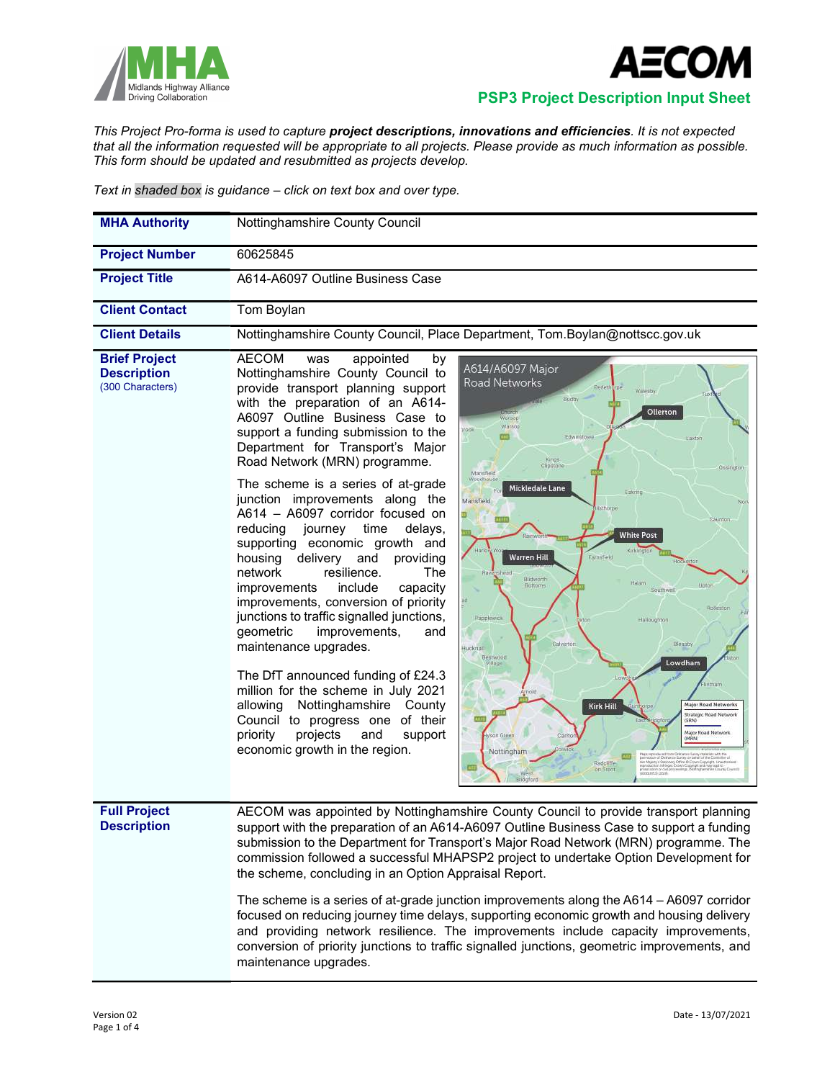



## Midlands Highway Alliance<br>Driving Collaboration **PSP3 Project Description Input Sheet**

This Project Pro-forma is used to capture project descriptions, innovations and efficiencies. It is not expected that all the information requested will be appropriate to all projects. Please provide as much information as possible. This form should be updated and resubmitted as projects develop.

Text in shaded box is guidance – click on text box and over type.

| <b>MHA Authority</b>                                           | Nottinghamshire County Council                                                                                                                                                                                                                                                                                                                                                                                                                                                                                                                                                                                                                                                                                                                                                                                                                                                                                                                                                                                                                                                                                                                                                                                                                                                                                                                                                                                                                                                                                                                                                                                                                                                                                           |  |  |  |  |
|----------------------------------------------------------------|--------------------------------------------------------------------------------------------------------------------------------------------------------------------------------------------------------------------------------------------------------------------------------------------------------------------------------------------------------------------------------------------------------------------------------------------------------------------------------------------------------------------------------------------------------------------------------------------------------------------------------------------------------------------------------------------------------------------------------------------------------------------------------------------------------------------------------------------------------------------------------------------------------------------------------------------------------------------------------------------------------------------------------------------------------------------------------------------------------------------------------------------------------------------------------------------------------------------------------------------------------------------------------------------------------------------------------------------------------------------------------------------------------------------------------------------------------------------------------------------------------------------------------------------------------------------------------------------------------------------------------------------------------------------------------------------------------------------------|--|--|--|--|
| <b>Project Number</b>                                          | 60625845                                                                                                                                                                                                                                                                                                                                                                                                                                                                                                                                                                                                                                                                                                                                                                                                                                                                                                                                                                                                                                                                                                                                                                                                                                                                                                                                                                                                                                                                                                                                                                                                                                                                                                                 |  |  |  |  |
| <b>Project Title</b>                                           | A614-A6097 Outline Business Case                                                                                                                                                                                                                                                                                                                                                                                                                                                                                                                                                                                                                                                                                                                                                                                                                                                                                                                                                                                                                                                                                                                                                                                                                                                                                                                                                                                                                                                                                                                                                                                                                                                                                         |  |  |  |  |
| <b>Client Contact</b>                                          | Tom Boylan                                                                                                                                                                                                                                                                                                                                                                                                                                                                                                                                                                                                                                                                                                                                                                                                                                                                                                                                                                                                                                                                                                                                                                                                                                                                                                                                                                                                                                                                                                                                                                                                                                                                                                               |  |  |  |  |
| <b>Client Details</b>                                          | Nottinghamshire County Council, Place Department, Tom.Boylan@nottscc.gov.uk                                                                                                                                                                                                                                                                                                                                                                                                                                                                                                                                                                                                                                                                                                                                                                                                                                                                                                                                                                                                                                                                                                                                                                                                                                                                                                                                                                                                                                                                                                                                                                                                                                              |  |  |  |  |
| <b>Brief Project</b><br><b>Description</b><br>(300 Characters) | <b>AECOM</b><br>appointed<br>was<br>by<br>A614/A6097 Major<br>Nottinghamshire County Council to<br>Road Networks<br>provide transport planning support<br>Redet<br>Waresby<br><b>Budby</b><br>with the preparation of an A614-<br>Ollerton<br>A6097 Outline Business Case to<br>Warsop<br>support a funding submission to the<br>Edwinstowe<br>Easton<br>Department for Transport's Major<br>Kings<br>Clipstone<br>Road Network (MRN) programme.<br>Ossington<br>Mansfield<br>Woodhouse<br>The scheme is a series of at-grade<br>Mickledale Lane<br>Ealcring<br>junction improvements along the<br>Mansfield<br>No<br>thorpe<br>A614 - A6097 corridor focused on<br>Caunton<br>reducing<br>journey<br>time<br>delays,<br><b>White Post</b><br>supporting economic growth and<br>Kirki<br>Warren Hill<br>housing<br>delivery<br>and<br>providing<br>Farnafield<br>resilience.<br>The<br>network<br>Blidworth<br>Halam<br>Uptor<br>Bottome<br>include<br>capacity<br>improvements<br>Southwe<br>improvements, conversion of priority<br>junctions to traffic signalled junctions,<br>Papplewick<br>Halloughton<br>improvements,<br>geometric<br>and<br>Calverton<br>Bleasby<br>maintenance upgrades.<br>łucknam.<br><b>Bestwood</b><br>Lowdham<br>Village<br>The DfT announced funding of £24.3<br>million for the scheme in July 2021<br>Nottinghamshire County<br>allowing<br><b>Major Road Networks</b><br>Kirk Hill<br>Strategic Road Network<br>Council to progress one of their<br>(SRN)<br>Major Road Network<br>projects<br>priority<br>and<br>support<br>ysan Green<br>(MRN)<br>economic growth in the region.<br>Nottingham<br>re Comme<br>TounGopeight University<br>Tight and may be<br>Radcillfer<br>on Frent |  |  |  |  |
| <b>Full Project</b><br><b>Description</b>                      | AECOM was appointed by Nottinghamshire County Council to provide transport planning<br>support with the preparation of an A614-A6097 Outline Business Case to support a funding<br>submission to the Department for Transport's Major Road Network (MRN) programme. The<br>commission followed a successful MHAPSP2 project to undertake Option Development for<br>the scheme, concluding in an Option Appraisal Report.                                                                                                                                                                                                                                                                                                                                                                                                                                                                                                                                                                                                                                                                                                                                                                                                                                                                                                                                                                                                                                                                                                                                                                                                                                                                                                 |  |  |  |  |
|                                                                | The scheme is a series of at-grade junction improvements along the A614 - A6097 corridor<br>focused on reducing journey time delays, supporting economic growth and housing delivery<br>and providing network resilience. The improvements include capacity improvements,<br>conversion of priority junctions to traffic signalled junctions, geometric improvements, and<br>maintenance upgrades.                                                                                                                                                                                                                                                                                                                                                                                                                                                                                                                                                                                                                                                                                                                                                                                                                                                                                                                                                                                                                                                                                                                                                                                                                                                                                                                       |  |  |  |  |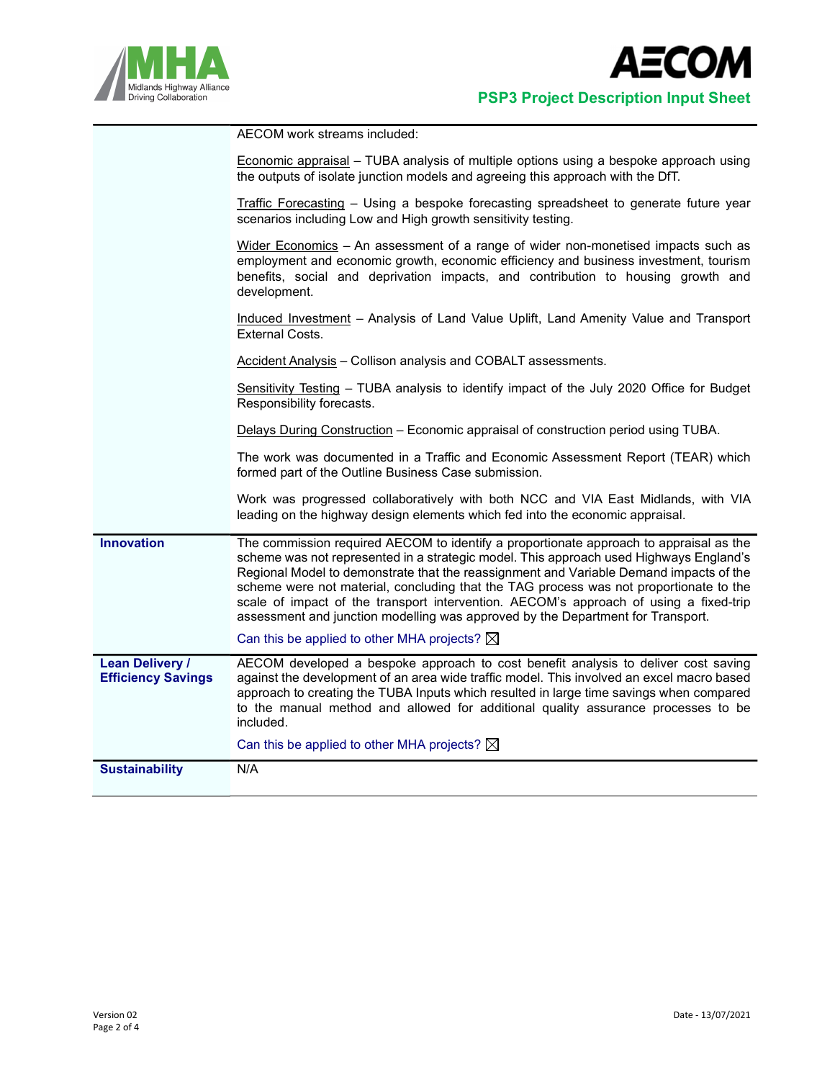

|                                                     | AECOM work streams included:                                                                                                                                                                                                                                                                                                                                                                                                                                                                                                                     |
|-----------------------------------------------------|--------------------------------------------------------------------------------------------------------------------------------------------------------------------------------------------------------------------------------------------------------------------------------------------------------------------------------------------------------------------------------------------------------------------------------------------------------------------------------------------------------------------------------------------------|
|                                                     | <b>Economic appraisal</b> – TUBA analysis of multiple options using a bespoke approach using<br>the outputs of isolate junction models and agreeing this approach with the DfT.                                                                                                                                                                                                                                                                                                                                                                  |
|                                                     | Traffic Forecasting - Using a bespoke forecasting spreadsheet to generate future year<br>scenarios including Low and High growth sensitivity testing.                                                                                                                                                                                                                                                                                                                                                                                            |
|                                                     | Wider Economics - An assessment of a range of wider non-monetised impacts such as<br>employment and economic growth, economic efficiency and business investment, tourism<br>benefits, social and deprivation impacts, and contribution to housing growth and<br>development.                                                                                                                                                                                                                                                                    |
|                                                     | Induced Investment - Analysis of Land Value Uplift, Land Amenity Value and Transport<br><b>External Costs.</b>                                                                                                                                                                                                                                                                                                                                                                                                                                   |
|                                                     | <b>Accident Analysis - Collison analysis and COBALT assessments.</b>                                                                                                                                                                                                                                                                                                                                                                                                                                                                             |
|                                                     | Sensitivity Testing - TUBA analysis to identify impact of the July 2020 Office for Budget<br>Responsibility forecasts.                                                                                                                                                                                                                                                                                                                                                                                                                           |
|                                                     | Delays During Construction – Economic appraisal of construction period using TUBA.                                                                                                                                                                                                                                                                                                                                                                                                                                                               |
|                                                     | The work was documented in a Traffic and Economic Assessment Report (TEAR) which<br>formed part of the Outline Business Case submission.                                                                                                                                                                                                                                                                                                                                                                                                         |
|                                                     | Work was progressed collaboratively with both NCC and VIA East Midlands, with VIA<br>leading on the highway design elements which fed into the economic appraisal.                                                                                                                                                                                                                                                                                                                                                                               |
| <b>Innovation</b>                                   | The commission required AECOM to identify a proportionate approach to appraisal as the<br>scheme was not represented in a strategic model. This approach used Highways England's<br>Regional Model to demonstrate that the reassignment and Variable Demand impacts of the<br>scheme were not material, concluding that the TAG process was not proportionate to the<br>scale of impact of the transport intervention. AECOM's approach of using a fixed-trip<br>assessment and junction modelling was approved by the Department for Transport. |
|                                                     | Can this be applied to other MHA projects? $\boxtimes$                                                                                                                                                                                                                                                                                                                                                                                                                                                                                           |
| <b>Lean Delivery /</b><br><b>Efficiency Savings</b> | AECOM developed a bespoke approach to cost benefit analysis to deliver cost saving<br>against the development of an area wide traffic model. This involved an excel macro based<br>approach to creating the TUBA Inputs which resulted in large time savings when compared<br>to the manual method and allowed for additional quality assurance processes to be<br>included.                                                                                                                                                                     |
|                                                     | Can this be applied to other MHA projects? $\boxtimes$                                                                                                                                                                                                                                                                                                                                                                                                                                                                                           |
| <b>Sustainability</b>                               | N/A                                                                                                                                                                                                                                                                                                                                                                                                                                                                                                                                              |
|                                                     |                                                                                                                                                                                                                                                                                                                                                                                                                                                                                                                                                  |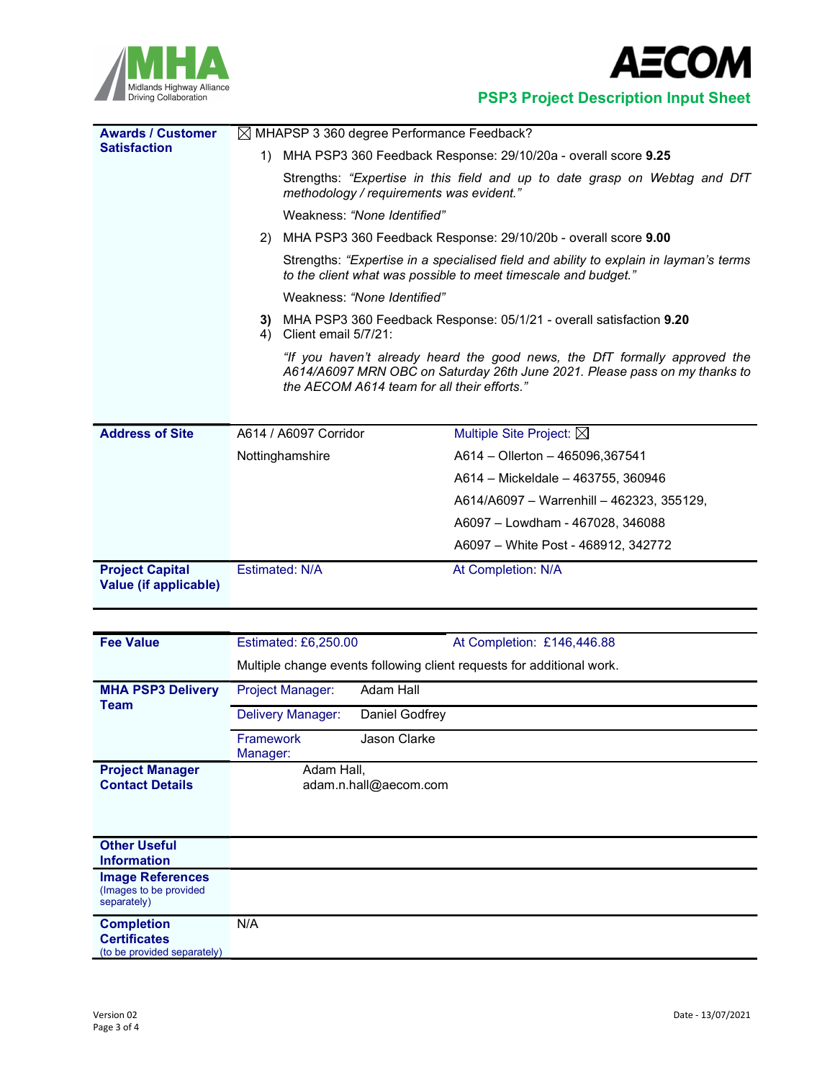



Midlands Highway Alliance<br>Driving Collaboration<br>PSP3 Project Description Input Sheet

| <b>Awards / Customer</b>                        | $\boxtimes$ MHAPSP 3 360 degree Performance Feedback?                                                                                                                                                                                                                                                                                             |                                           |  |  |  |
|-------------------------------------------------|---------------------------------------------------------------------------------------------------------------------------------------------------------------------------------------------------------------------------------------------------------------------------------------------------------------------------------------------------|-------------------------------------------|--|--|--|
| <b>Satisfaction</b>                             | MHA PSP3 360 Feedback Response: 29/10/20a - overall score 9.25<br>1)                                                                                                                                                                                                                                                                              |                                           |  |  |  |
|                                                 | Strengths: "Expertise in this field and up to date grasp on Webtag and DfT<br>methodology / requirements was evident."<br>Weakness: "None Identified"                                                                                                                                                                                             |                                           |  |  |  |
|                                                 |                                                                                                                                                                                                                                                                                                                                                   |                                           |  |  |  |
|                                                 | 2) MHA PSP3 360 Feedback Response: 29/10/20b - overall score 9.00                                                                                                                                                                                                                                                                                 |                                           |  |  |  |
|                                                 | Strengths: "Expertise in a specialised field and ability to explain in layman's terms<br>to the client what was possible to meet timescale and budget."                                                                                                                                                                                           |                                           |  |  |  |
|                                                 | Weakness: "None Identified"<br>MHA PSP3 360 Feedback Response: 05/1/21 - overall satisfaction 9.20<br>3)<br>Client email 5/7/21:<br>4)<br>"If you haven't already heard the good news, the DfT formally approved the<br>A614/A6097 MRN OBC on Saturday 26th June 2021. Please pass on my thanks to<br>the AECOM A614 team for all their efforts." |                                           |  |  |  |
|                                                 |                                                                                                                                                                                                                                                                                                                                                   |                                           |  |  |  |
| <b>Address of Site</b>                          |                                                                                                                                                                                                                                                                                                                                                   |                                           |  |  |  |
|                                                 | Nottinghamshire                                                                                                                                                                                                                                                                                                                                   | A614 - Ollerton - 465096,367541           |  |  |  |
|                                                 |                                                                                                                                                                                                                                                                                                                                                   | A614 - Mickeldale - 463755, 360946        |  |  |  |
|                                                 |                                                                                                                                                                                                                                                                                                                                                   | A614/A6097 - Warrenhill - 462323, 355129, |  |  |  |
|                                                 |                                                                                                                                                                                                                                                                                                                                                   | A6097 - Lowdham - 467028, 346088          |  |  |  |
|                                                 |                                                                                                                                                                                                                                                                                                                                                   | A6097 - White Post - 468912, 342772       |  |  |  |
| <b>Project Capital</b><br>Value (if applicable) | Estimated: N/A                                                                                                                                                                                                                                                                                                                                    | At Completion: N/A                        |  |  |  |

| <b>Fee Value</b>                                                        | Estimated: £6,250.00                                                  |                       | At Completion: £146,446.88 |  |
|-------------------------------------------------------------------------|-----------------------------------------------------------------------|-----------------------|----------------------------|--|
|                                                                         | Multiple change events following client requests for additional work. |                       |                            |  |
| <b>MHA PSP3 Delivery</b><br>Team                                        | <b>Project Manager:</b>                                               | Adam Hall             |                            |  |
|                                                                         | Delivery Manager:                                                     | Daniel Godfrey        |                            |  |
|                                                                         | <b>Framework</b><br>Manager:                                          | <b>Jason Clarke</b>   |                            |  |
| <b>Project Manager</b><br><b>Contact Details</b>                        | Adam Hall,                                                            | adam.n.hall@aecom.com |                            |  |
| <b>Other Useful</b><br><b>Information</b>                               |                                                                       |                       |                            |  |
| <b>Image References</b><br>(Images to be provided<br>separately)        |                                                                       |                       |                            |  |
| <b>Completion</b><br><b>Certificates</b><br>(to be provided separately) | N/A                                                                   |                       |                            |  |